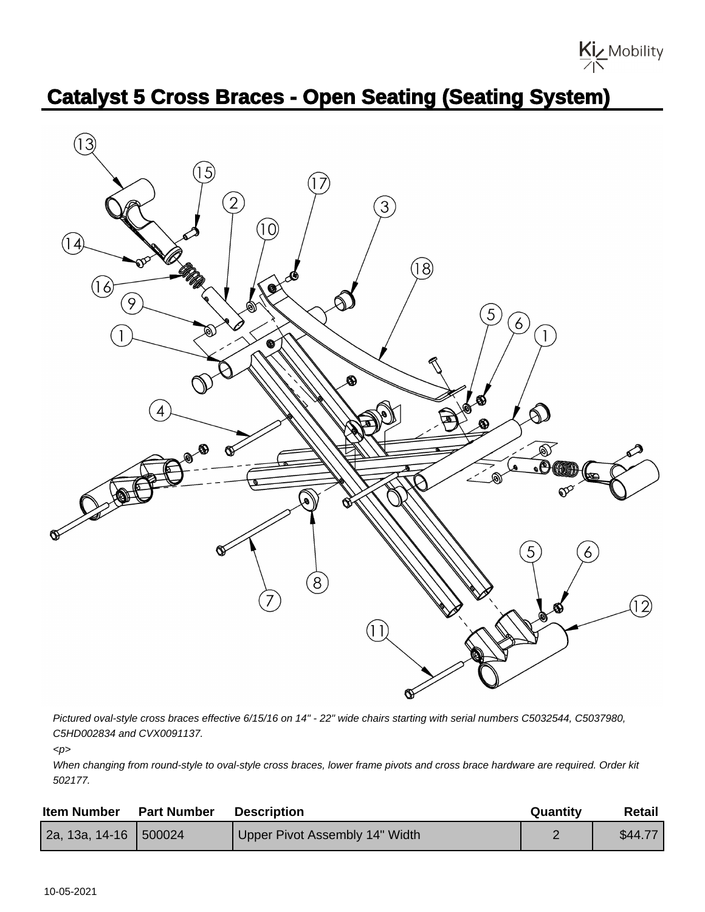

## **Catalyst 5 Cross Braces - Open Seating (Seating System)**



Pictured oval-style cross braces effective 6/15/16 on 14" - 22" wide chairs starting with serial numbers C5032544, C5037980, C5HD002834 and CVX0091137.

 $\langle p \rangle$ 

When changing from round-style to oval-style cross braces, lower frame pivots and cross brace hardware are required. Order kit 502177.

| <b>Item Number</b>      | <b>Part Number</b> | <b>Description</b>             | Quantity | Retail  |
|-------------------------|--------------------|--------------------------------|----------|---------|
| 2a, 13a, 14-16   500024 |                    | Upper Pivot Assembly 14" Width |          | \$44.77 |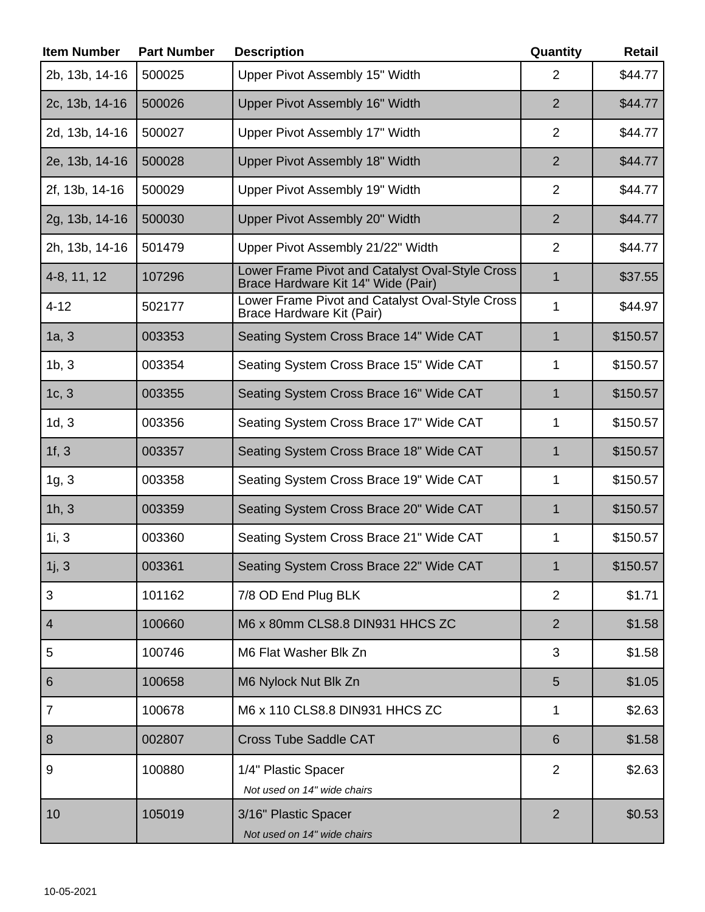| <b>Item Number</b>       | <b>Part Number</b> | <b>Description</b>                                                                    | Quantity        | <b>Retail</b> |
|--------------------------|--------------------|---------------------------------------------------------------------------------------|-----------------|---------------|
| 2b, 13b, 14-16           | 500025             | Upper Pivot Assembly 15" Width                                                        | $\overline{2}$  | \$44.77       |
| 2c, 13b, 14-16           | 500026             | Upper Pivot Assembly 16" Width                                                        | $\overline{2}$  | \$44.77       |
| 2d, 13b, 14-16           | 500027             | Upper Pivot Assembly 17" Width                                                        | 2               | \$44.77       |
| 2e, 13b, 14-16           | 500028             | Upper Pivot Assembly 18" Width                                                        | $\overline{2}$  | \$44.77       |
| 2f, 13b, 14-16           | 500029             | Upper Pivot Assembly 19" Width                                                        | $\overline{2}$  | \$44.77       |
| 2g, 13b, 14-16           | 500030             | Upper Pivot Assembly 20" Width                                                        | $\overline{2}$  | \$44.77       |
| 2h, 13b, 14-16           | 501479             | Upper Pivot Assembly 21/22" Width                                                     | $\overline{2}$  | \$44.77       |
| 4-8, 11, 12              | 107296             | Lower Frame Pivot and Catalyst Oval-Style Cross<br>Brace Hardware Kit 14" Wide (Pair) | $\mathbf 1$     | \$37.55       |
| $4 - 12$                 | 502177             | Lower Frame Pivot and Catalyst Oval-Style Cross<br>Brace Hardware Kit (Pair)          | $\mathbf{1}$    | \$44.97       |
| 1a, 3                    | 003353             | Seating System Cross Brace 14" Wide CAT                                               | 1               | \$150.57      |
| 1b, 3                    | 003354             | Seating System Cross Brace 15" Wide CAT                                               | 1               | \$150.57      |
| 1c, 3                    | 003355             | Seating System Cross Brace 16" Wide CAT                                               | $\mathbf{1}$    | \$150.57      |
| 1d, 3                    | 003356             | Seating System Cross Brace 17" Wide CAT                                               | 1               | \$150.57      |
| 1f, 3                    | 003357             | Seating System Cross Brace 18" Wide CAT                                               | $\mathbf 1$     | \$150.57      |
| 1g, 3                    | 003358             | Seating System Cross Brace 19" Wide CAT                                               | 1               | \$150.57      |
| 1h, 3                    | 003359             | Seating System Cross Brace 20" Wide CAT                                               | 1               | \$150.57      |
| 1i, 3                    | 003360             | Seating System Cross Brace 21" Wide CAT                                               | 1               | \$150.57      |
| 1j, 3                    | 003361             | Seating System Cross Brace 22" Wide CAT                                               | 1               | \$150.57      |
| 3                        | 101162             | 7/8 OD End Plug BLK                                                                   | $\overline{2}$  | \$1.71        |
| $\overline{\mathcal{A}}$ | 100660             | M6 x 80mm CLS8.8 DIN931 HHCS ZC                                                       | $\overline{2}$  | \$1.58        |
| 5                        | 100746             | M6 Flat Washer Blk Zn                                                                 | 3               | \$1.58        |
| 6                        | 100658             | M6 Nylock Nut Blk Zn                                                                  | 5               | \$1.05        |
| $\overline{7}$           | 100678             | M6 x 110 CLS8.8 DIN931 HHCS ZC                                                        | 1               | \$2.63        |
| 8                        | 002807             | <b>Cross Tube Saddle CAT</b>                                                          | $6\phantom{1}6$ | \$1.58        |
| 9                        | 100880             | 1/4" Plastic Spacer                                                                   | $\overline{2}$  | \$2.63        |
|                          |                    | Not used on 14" wide chairs                                                           |                 |               |
| 10                       | 105019             | 3/16" Plastic Spacer<br>Not used on 14" wide chairs                                   | $\overline{2}$  | \$0.53        |